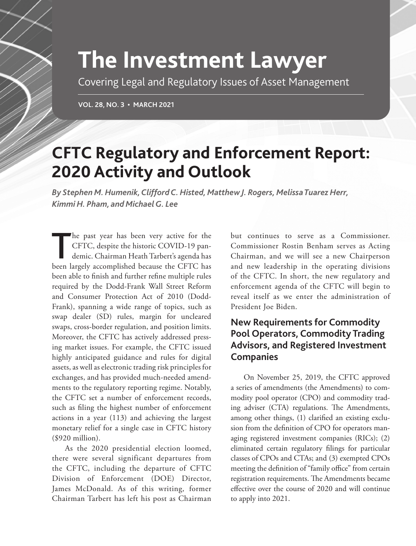# **The Investment Lawyer**

Covering Legal and Regulatory Issues of Asset Management

**VOL. 28, NO. 3 • MARCH 2021**

# **CFTC Regulatory and Enforcement Report: 2020 Activity and Outlook**

*By Stephen M. Humenik, Clifford C. Histed, Matthew J. Rogers, Melissa Tuarez Herr, Kimmi H. Pham, and Michael G. Lee*

The past year has been very active for the<br>CFTC, despite the historic COVID-19 pan-<br>demic. Chairman Heath Tarbert's agenda has<br>heap largely accomplished because the CETC has CFTC, despite the historic COVID-19 pandemic. Chairman Heath Tarbert's agenda has been largely accomplished because the CFTC has been able to finish and further refine multiple rules required by the Dodd-Frank Wall Street Reform and Consumer Protection Act of 2010 (Dodd-Frank), spanning a wide range of topics, such as swap dealer (SD) rules, margin for uncleared swaps, cross-border regulation, and position limits. Moreover, the CFTC has actively addressed pressing market issues. For example, the CFTC issued highly anticipated guidance and rules for digital assets, as well as electronic trading risk principles for exchanges, and has provided much-needed amendments to the regulatory reporting regime. Notably, the CFTC set a number of enforcement records, such as filing the highest number of enforcement actions in a year (113) and achieving the largest monetary relief for a single case in CFTC history (\$920 million).

As the 2020 presidential election loomed, there were several significant departures from the CFTC, including the departure of CFTC Division of Enforcement (DOE) Director, James McDonald. As of this writing, former Chairman Tarbert has left his post as Chairman

but continues to serve as a Commissioner. Commissioner Rostin Benham serves as Acting Chairman, and we will see a new Chairperson and new leadership in the operating divisions of the CFTC. In short, the new regulatory and enforcement agenda of the CFTC will begin to reveal itself as we enter the administration of President Joe Biden.

# **New Requirements for Commodity Pool Operators, Commodity Trading Advisors, and Registered Investment Companies**

On November 25, 2019, the CFTC approved a series of amendments (the Amendments) to commodity pool operator (CPO) and commodity trading adviser (CTA) regulations. The Amendments, among other things, (1) clarified an existing exclusion from the definition of CPO for operators managing registered investment companies (RICs); (2) eliminated certain regulatory filings for particular classes of CPOs and CTAs; and (3) exempted CPOs meeting the definition of "family office" from certain registration requirements. The Amendments became effective over the course of 2020 and will continue to apply into 2021.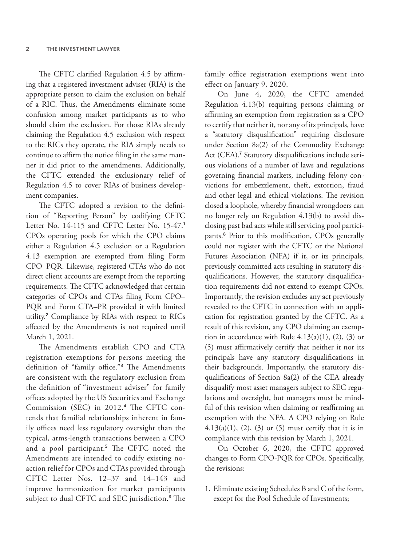The CFTC clarified Regulation 4.5 by affirming that a registered investment adviser (RIA) is the appropriate person to claim the exclusion on behalf of a RIC. Thus, the Amendments eliminate some confusion among market participants as to who should claim the exclusion. For those RIAs already claiming the Regulation 4.5 exclusion with respect to the RICs they operate, the RIA simply needs to continue to affirm the notice filing in the same manner it did prior to the amendments. Additionally, the CFTC extended the exclusionary relief of Regulation 4.5 to cover RIAs of business development companies.

The CFTC adopted a revision to the definition of "Reporting Person" by codifying CFTC Letter No. 14-115 and CFTC Letter No. 15-47.<sup>1</sup> CPOs operating pools for which the CPO claims either a Regulation 4.5 exclusion or a Regulation 4.13 exemption are exempted from filing Form CPO–PQR. Likewise, registered CTAs who do not direct client accounts are exempt from the reporting requirements. The CFTC acknowledged that certain categories of CPOs and CTAs filing Form CPO– PQR and Form CTA–PR provided it with limited utility.<sup>2</sup> Compliance by RIAs with respect to RICs affected by the Amendments is not required until March 1, 2021.

The Amendments establish CPO and CTA registration exemptions for persons meeting the definition of "family office."<sup>3</sup> The Amendments are consistent with the regulatory exclusion from the definition of "investment adviser" for family offices adopted by the US Securities and Exchange Commission (SEC) in 2012.4 The CFTC contends that familial relationships inherent in family offices need less regulatory oversight than the typical, arms-length transactions between a CPO and a pool participant.<sup>5</sup> The CFTC noted the Amendments are intended to codify existing noaction relief for CPOs and CTAs provided through CFTC Letter Nos. 12–37 and 14–143 and improve harmonization for market participants subject to dual CFTC and SEC jurisdiction.<sup>6</sup> The

family office registration exemptions went into effect on January 9, 2020.

On June 4, 2020, the CFTC amended Regulation 4.13(b) requiring persons claiming or affirming an exemption from registration as a CPO to certify that neither it, nor any of its principals, have a "statutory disqualification" requiring disclosure under Section 8a(2) of the Commodity Exchange Act (CEA).<sup>7</sup> Statutory disqualifications include serious violations of a number of laws and regulations governing financial markets, including felony convictions for embezzlement, theft, extortion, fraud and other legal and ethical violations. The revision closed a loophole, whereby financial wrongdoers can no longer rely on Regulation 4.13(b) to avoid disclosing past bad acts while still servicing pool participants.<sup>8</sup> Prior to this modification, CPOs generally could not register with the CFTC or the National Futures Association (NFA) if it, or its principals, previously committed acts resulting in statutory disqualifications. However, the statutory disqualification requirements did not extend to exempt CPOs. Importantly, the revision excludes any act previously revealed to the CFTC in connection with an application for registration granted by the CFTC. As a result of this revision, any CPO claiming an exemption in accordance with Rule  $4.13(a)(1)$ ,  $(2)$ ,  $(3)$  or (5) must affirmatively certify that neither it nor its principals have any statutory disqualifications in their backgrounds. Importantly, the statutory disqualifications of Section 8a(2) of the CEA already disqualify most asset managers subject to SEC regulations and oversight, but managers must be mindful of this revision when claiming or reaffirming an exemption with the NFA. A CPO relying on Rule  $4.13(a)(1)$ ,  $(2)$ ,  $(3)$  or  $(5)$  must certify that it is in compliance with this revision by March 1, 2021.

On October 6, 2020, the CFTC approved changes to Form CPO-PQR for CPOs. Specifically, the revisions:

1. Eliminate existing Schedules B and C of the form, except for the Pool Schedule of Investments;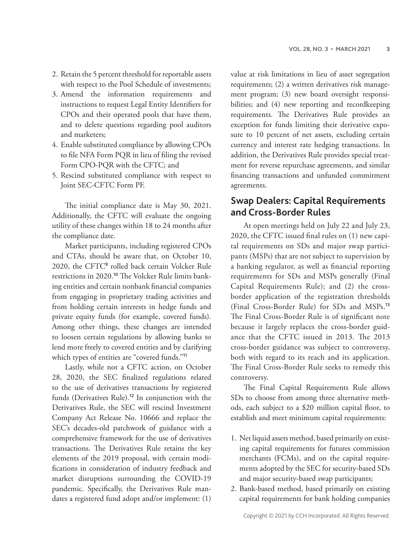- 2. Retain the 5 percent threshold for reportable assets with respect to the Pool Schedule of investments;
- 3. Amend the information requirements and instructions to request Legal Entity Identifiers for CPOs and their operated pools that have them, and to delete questions regarding pool auditors and marketers;
- 4. Enable substituted compliance by allowing CPOs to file NFA Form PQR in lieu of filing the revised Form CPO-PQR with the CFTC; and
- 5. Rescind substituted compliance with respect to Joint SEC-CFTC Form PF.

The initial compliance date is May 30, 2021. Additionally, the CFTC will evaluate the ongoing utility of these changes within 18 to 24 months after the compliance date.

Market participants, including registered CPOs and CTAs, should be aware that, on October 10, 2020, the CFTC<sup>9</sup> rolled back certain Volcker Rule restrictions in 2020.10 The Volcker Rule limits banking entities and certain nonbank financial companies from engaging in proprietary trading activities and from holding certain interests in hedge funds and private equity funds (for example, covered funds). Among other things, these changes are intended to loosen certain regulations by allowing banks to lend more freely to covered entities and by clarifying which types of entities are "covered funds."<sup>11</sup>

Lastly, while not a CFTC action, on October 28, 2020, the SEC finalized regulations related to the use of derivatives transactions by registered funds (Derivatives Rule).<sup>12</sup> In conjunction with the Derivatives Rule, the SEC will rescind Investment Company Act Release No. 10666 and replace the SEC's decades-old patchwork of guidance with a comprehensive framework for the use of derivatives transactions. The Derivatives Rule retains the key elements of the 2019 proposal, with certain modifications in consideration of industry feedback and market disruptions surrounding the COVID-19 pandemic. Specifically, the Derivatives Rule mandates a registered fund adopt and/or implement: (1)

value at risk limitations in lieu of asset segregation requirements; (2) a written derivatives risk management program; (3) new board oversight responsibilities; and (4) new reporting and recordkeeping requirements. The Derivatives Rule provides an exception for funds limiting their derivative exposure to 10 percent of net assets, excluding certain currency and interest rate hedging transactions. In addition, the Derivatives Rule provides special treatment for reverse repurchase agreements, and similar financing transactions and unfunded commitment agreements.

#### **Swap Dealers: Capital Requirements and Cross-Border Rules**

At open meetings held on July 22 and July 23, 2020, the CFTC issued final rules on (1) new capital requirements on SDs and major swap participants (MSPs) that are not subject to supervision by a banking regulator, as well as financial reporting requirements for SDs and MSPs generally (Final Capital Requirements Rule); and (2) the crossborder application of the registration thresholds (Final Cross-Border Rule) for SDs and MSPs.<sup>13</sup> The Final Cross-Border Rule is of significant note because it largely replaces the cross-border guidance that the CFTC issued in 2013. The 2013 cross-border guidance was subject to controversy, both with regard to its reach and its application. The Final Cross-Border Rule seeks to remedy this controversy.

The Final Capital Requirements Rule allows SDs to choose from among three alternative methods, each subject to a \$20 million capital floor, to establish and meet minimum capital requirements:

- 1. Net liquid assets method, based primarily on existing capital requirements for futures commission merchants (FCMs), and on the capital requirements adopted by the SEC for security-based SDs and major security-based swap participants;
- 2. Bank-based method, based primarily on existing capital requirements for bank holding companies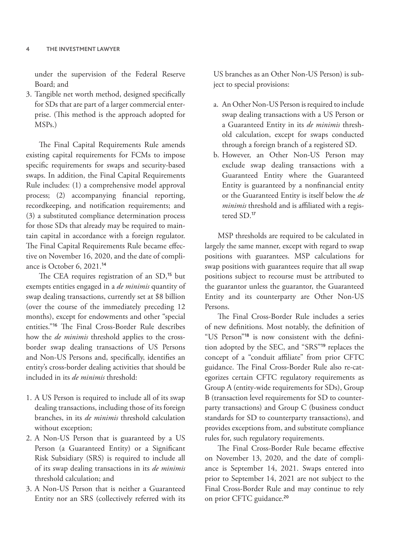under the supervision of the Federal Reserve Board; and

3. Tangible net worth method, designed specifically for SDs that are part of a larger commercial enterprise. (This method is the approach adopted for MSPs.)

The Final Capital Requirements Rule amends existing capital requirements for FCMs to impose specific requirements for swaps and security-based swaps. In addition, the Final Capital Requirements Rule includes: (1) a comprehensive model approval process; (2) accompanying financial reporting, recordkeeping, and notification requirements; and (3) a substituted compliance determination process for those SDs that already may be required to maintain capital in accordance with a foreign regulator. The Final Capital Requirements Rule became effective on November 16, 2020, and the date of compliance is October 6, 2021.<sup>14</sup>

The CEA requires registration of an SD,<sup>15</sup> but exempts entities engaged in a *de minimis* quantity of swap dealing transactions, currently set at \$8 billion (over the course of the immediately preceding 12 months), except for endowments and other "special entities."<sup>16</sup> The Final Cross-Border Rule describes how the *de minimis* threshold applies to the crossborder swap dealing transactions of US Persons and Non-US Persons and, specifically, identifies an entity's cross-border dealing activities that should be included in its *de minimis* threshold:

- 1. A US Person is required to include all of its swap dealing transactions, including those of its foreign branches, in its *de minimis* threshold calculation without exception;
- 2. A Non-US Person that is guaranteed by a US Person (a Guaranteed Entity) or a Significant Risk Subsidiary (SRS) is required to include all of its swap dealing transactions in its *de minimis* threshold calculation; and
- 3. A Non-US Person that is neither a Guaranteed Entity nor an SRS (collectively referred with its

US branches as an Other Non-US Person) is subject to special provisions:

- a. An Other Non-US Person is required to include swap dealing transactions with a US Person or a Guaranteed Entity in its *de minimis* threshold calculation, except for swaps conducted through a foreign branch of a registered SD.
- b. However, an Other Non-US Person may exclude swap dealing transactions with a Guaranteed Entity where the Guaranteed Entity is guaranteed by a nonfinancial entity or the Guaranteed Entity is itself below the *de minimis* threshold and is affiliated with a registered SD.<sup>17</sup>

MSP thresholds are required to be calculated in largely the same manner, except with regard to swap positions with guarantees. MSP calculations for swap positions with guarantees require that all swap positions subject to recourse must be attributed to the guarantor unless the guarantor, the Guaranteed Entity and its counterparty are Other Non-US Persons.

The Final Cross-Border Rule includes a series of new definitions. Most notably, the definition of "US Person"18 is now consistent with the definition adopted by the SEC, and "SRS"<sup>19</sup> replaces the concept of a "conduit affiliate" from prior CFTC guidance. The Final Cross-Border Rule also re-categorizes certain CFTC regulatory requirements as Group A (entity-wide requirements for SDs), Group B (transaction level requirements for SD to counterparty transactions) and Group C (business conduct standards for SD to counterparty transactions), and provides exceptions from, and substitute compliance rules for, such regulatory requirements.

The Final Cross-Border Rule became effective on November 13, 2020, and the date of compliance is September 14, 2021. Swaps entered into prior to September 14, 2021 are not subject to the Final Cross-Border Rule and may continue to rely on prior CFTC guidance.<sup>20</sup>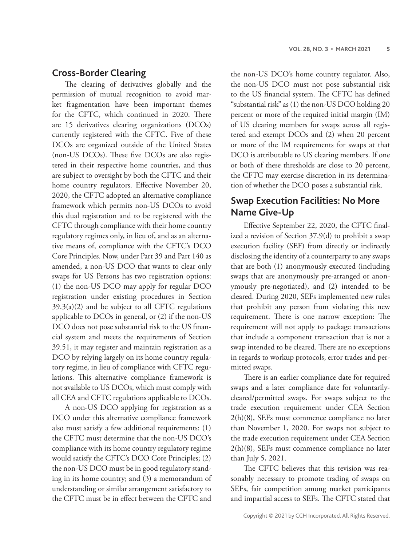#### **Cross-Border Clearing**

The clearing of derivatives globally and the permission of mutual recognition to avoid market fragmentation have been important themes for the CFTC, which continued in 2020. There are 15 derivatives clearing organizations (DCOs) currently registered with the CFTC. Five of these DCOs are organized outside of the United States (non-US DCOs). These five DCOs are also registered in their respective home countries, and thus are subject to oversight by both the CFTC and their home country regulators. Effective November 20, 2020, the CFTC adopted an alternative compliance framework which permits non-US DCOs to avoid this dual registration and to be registered with the CFTC through compliance with their home country regulatory regimes only, in lieu of, and as an alternative means of, compliance with the CFTC's DCO Core Principles. Now, under Part 39 and Part 140 as amended, a non-US DCO that wants to clear only swaps for US Persons has two registration options: (1) the non-US DCO may apply for regular DCO registration under existing procedures in Section  $39.3(a)(2)$  and be subject to all CFTC regulations applicable to DCOs in general, or (2) if the non-US DCO does not pose substantial risk to the US financial system and meets the requirements of Section 39.51, it may register and maintain registration as a DCO by relying largely on its home country regulatory regime, in lieu of compliance with CFTC regulations. This alternative compliance framework is not available to US DCOs, which must comply with all CEA and CFTC regulations applicable to DCOs.

A non-US DCO applying for registration as a DCO under this alternative compliance framework also must satisfy a few additional requirements: (1) the CFTC must determine that the non-US DCO's compliance with its home country regulatory regime would satisfy the CFTC's DCO Core Principles; (2) the non-US DCO must be in good regulatory standing in its home country; and (3) a memorandum of understanding or similar arrangement satisfactory to the CFTC must be in effect between the CFTC and

the non-US DCO's home country regulator. Also, the non-US DCO must not pose substantial risk to the US financial system. The CFTC has defined "substantial risk" as (1) the non-US DCO holding 20 percent or more of the required initial margin (IM) of US clearing members for swaps across all registered and exempt DCOs and (2) when 20 percent or more of the IM requirements for swaps at that DCO is attributable to US clearing members. If one or both of these thresholds are close to 20 percent, the CFTC may exercise discretion in its determination of whether the DCO poses a substantial risk.

## **Swap Execution Facilities: No More Name Give-Up**

Effective September 22, 2020, the CFTC finalized a revision of Section 37.9(d) to prohibit a swap execution facility (SEF) from directly or indirectly disclosing the identity of a counterparty to any swaps that are both (1) anonymously executed (including swaps that are anonymously pre-arranged or anonymously pre-negotiated), and (2) intended to be cleared. During 2020, SEFs implemented new rules that prohibit any person from violating this new requirement. There is one narrow exception: The requirement will not apply to package transactions that include a component transaction that is not a swap intended to be cleared. There are no exceptions in regards to workup protocols, error trades and permitted swaps.

There is an earlier compliance date for required swaps and a later compliance date for voluntarilycleared/permitted swaps. For swaps subject to the trade execution requirement under CEA Section 2(h)(8), SEFs must commence compliance no later than November 1, 2020. For swaps not subject to the trade execution requirement under CEA Section 2(h)(8), SEFs must commence compliance no later than July 5, 2021.

The CFTC believes that this revision was reasonably necessary to promote trading of swaps on SEFs, fair competition among market participants and impartial access to SEFs. The CFTC stated that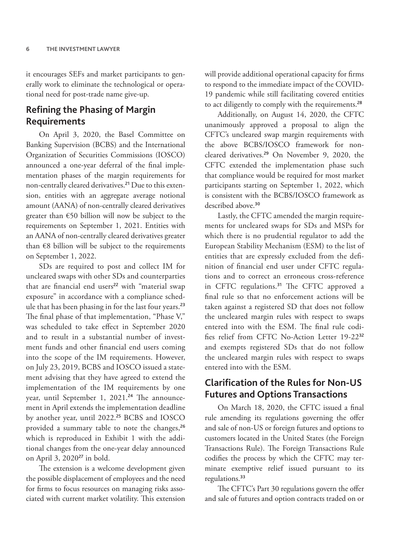it encourages SEFs and market participants to generally work to eliminate the technological or operational need for post-trade name give-up.

#### **Refining the Phasing of Margin Requirements**

On April 3, 2020, the Basel Committee on Banking Supervision (BCBS) and the International Organization of Securities Commissions (IOSCO) announced a one-year deferral of the final implementation phases of the margin requirements for non-centrally cleared derivatives.<sup>21</sup> Due to this extension, entities with an aggregate average notional amount (AANA) of non-centrally cleared derivatives greater than €50 billion will now be subject to the requirements on September 1, 2021. Entities with an AANA of non-centrally cleared derivatives greater than €8 billion will be subject to the requirements on September 1, 2022.

SDs are required to post and collect IM for uncleared swaps with other SDs and counterparties that are financial end users<sup>22</sup> with "material swap exposure" in accordance with a compliance schedule that has been phasing in for the last four years.<sup>23</sup> The final phase of that implementation, "Phase V," was scheduled to take effect in September 2020 and to result in a substantial number of investment funds and other financial end users coming into the scope of the IM requirements. However, on July 23, 2019, BCBS and IOSCO issued a statement advising that they have agreed to extend the implementation of the IM requirements by one year, until September 1, 2021.<sup>24</sup> The announcement in April extends the implementation deadline by another year, until 2022.<sup>25</sup> BCBS and IOSCO provided a summary table to note the changes,<sup>26</sup> which is reproduced in Exhibit 1 with the additional changes from the one-year delay announced on April 3, 2020<sup>27</sup> in bold.

The extension is a welcome development given the possible displacement of employees and the need for firms to focus resources on managing risks associated with current market volatility. This extension will provide additional operational capacity for firms to respond to the immediate impact of the COVID-19 pandemic while still facilitating covered entities to act diligently to comply with the requirements.<sup>28</sup>

Additionally, on August 14, 2020, the CFTC unanimously approved a proposal to align the CFTC's uncleared swap margin requirements with the above BCBS/IOSCO framework for noncleared derivatives.<sup>29</sup> On November 9, 2020, the CFTC extended the implementation phase such that compliance would be required for most market participants starting on September 1, 2022, which is consistent with the BCBS/IOSCO framework as described above.<sup>30</sup>

Lastly, the CFTC amended the margin requirements for uncleared swaps for SDs and MSPs for which there is no prudential regulator to add the European Stability Mechanism (ESM) to the list of entities that are expressly excluded from the definition of financial end user under CFTC regulations and to correct an erroneous cross-reference in CFTC regulations.<sup>31</sup> The CFTC approved a final rule so that no enforcement actions will be taken against a registered SD that does not follow the uncleared margin rules with respect to swaps entered into with the ESM. The final rule codifies relief from CFTC No-Action Letter 19-22<sup>32</sup> and exempts registered SDs that do not follow the uncleared margin rules with respect to swaps entered into with the ESM.

#### **Clarification of the Rules for Non-US Futures and Options Transactions**

On March 18, 2020, the CFTC issued a final rule amending its regulations governing the offer and sale of non-US or foreign futures and options to customers located in the United States (the Foreign Transactions Rule). The Foreign Transactions Rule codifies the process by which the CFTC may terminate exemptive relief issued pursuant to its regulations.<sup>33</sup>

The CFTC's Part 30 regulations govern the offer and sale of futures and option contracts traded on or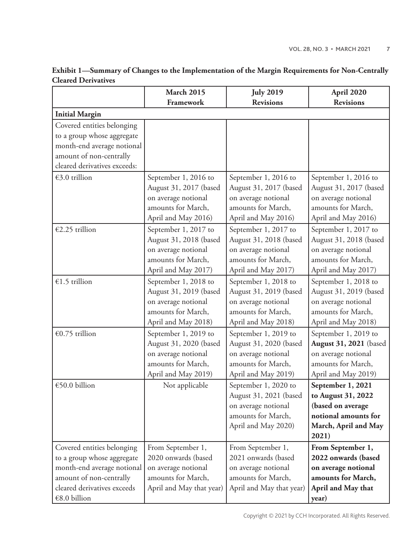|                              | <b>March 2015</b>        | <b>July 2019</b>         | April 2020                    |
|------------------------------|--------------------------|--------------------------|-------------------------------|
|                              | Framework                | <b>Revisions</b>         | <b>Revisions</b>              |
| <b>Initial Margin</b>        |                          |                          |                               |
| Covered entities belonging   |                          |                          |                               |
| to a group whose aggregate   |                          |                          |                               |
| month-end average notional   |                          |                          |                               |
| amount of non-centrally      |                          |                          |                               |
| cleared derivatives exceeds: |                          |                          |                               |
| €3.0 trillion                | September 1, 2016 to     | September 1, 2016 to     | September 1, 2016 to          |
|                              | August 31, 2017 (based   | August 31, 2017 (based   | August 31, 2017 (based        |
|                              | on average notional      | on average notional      | on average notional           |
|                              | amounts for March,       | amounts for March,       | amounts for March,            |
|                              | April and May 2016)      | April and May 2016)      | April and May 2016)           |
| €2.25 trillion               | September 1, 2017 to     | September 1, 2017 to     | September 1, 2017 to          |
|                              | August 31, 2018 (based   | August 31, 2018 (based   | August 31, 2018 (based        |
|                              | on average notional      | on average notional      | on average notional           |
|                              | amounts for March,       | amounts for March,       | amounts for March,            |
|                              | April and May 2017)      | April and May 2017)      | April and May 2017)           |
| €1.5 trillion                | September 1, 2018 to     | September 1, 2018 to     | September 1, 2018 to          |
|                              | August 31, 2019 (based   | August 31, 2019 (based   | August 31, 2019 (based        |
|                              | on average notional      | on average notional      | on average notional           |
|                              | amounts for March,       | amounts for March,       | amounts for March,            |
|                              | April and May 2018)      | April and May 2018)      | April and May 2018)           |
| €0.75 trillion               | September 1, 2019 to     | September 1, 2019 to     | September 1, 2019 to          |
|                              | August 31, 2020 (based   | August 31, 2020 (based   | <b>August 31, 2021</b> (based |
|                              | on average notional      | on average notional      | on average notional           |
|                              | amounts for March,       | amounts for March,       | amounts for March,            |
|                              | April and May 2019)      | April and May 2019)      | April and May 2019)           |
| €50.0 billion                | Not applicable           | September 1, 2020 to     | September 1, 2021             |
|                              |                          | August 31, 2021 (based   | to August 31, 2022            |
|                              |                          | on average notional      | (based on average             |
|                              |                          | amounts for March,       | notional amounts for          |
|                              |                          | April and May 2020)      | March, April and May          |
|                              |                          |                          | 2021)                         |
| Covered entities belonging   | From September 1,        | From September 1,        | From September 1,             |
| to a group whose aggregate   | 2020 onwards (based      | 2021 onwards (based      | 2022 onwards (based           |
| month-end average notional   | on average notional      | on average notional      | on average notional           |
| amount of non-centrally      | amounts for March,       | amounts for March,       | amounts for March,            |
| cleared derivatives exceeds  | April and May that year) | April and May that year) | April and May that            |
| €8.0 billion                 |                          |                          | year)                         |

#### **Exhibit 1—Summary of Changes to the Implementation of the Margin Requirements for Non-Centrally Cleared Derivatives**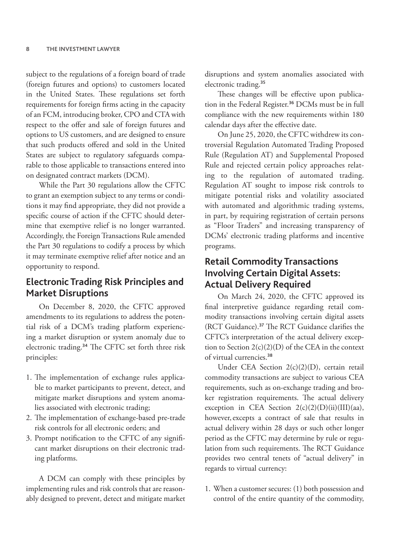subject to the regulations of a foreign board of trade (foreign futures and options) to customers located in the United States. These regulations set forth requirements for foreign firms acting in the capacity of an FCM, introducing broker, CPO and CTA with respect to the offer and sale of foreign futures and options to US customers, and are designed to ensure that such products offered and sold in the United States are subject to regulatory safeguards comparable to those applicable to transactions entered into on designated contract markets (DCM).

While the Part 30 regulations allow the CFTC to grant an exemption subject to any terms or conditions it may find appropriate, they did not provide a specific course of action if the CFTC should determine that exemptive relief is no longer warranted. Accordingly, the Foreign Transactions Rule amended the Part 30 regulations to codify a process by which it may terminate exemptive relief after notice and an opportunity to respond.

# **Electronic Trading Risk Principles and Market Disruptions**

On December 8, 2020, the CFTC approved amendments to its regulations to address the potential risk of a DCM's trading platform experiencing a market disruption or system anomaly due to electronic trading.<sup>34</sup> The CFTC set forth three risk principles:

- 1. The implementation of exchange rules applicable to market participants to prevent, detect, and mitigate market disruptions and system anomalies associated with electronic trading;
- 2. The implementation of exchange-based pre-trade risk controls for all electronic orders; and
- 3. Prompt notification to the CFTC of any significant market disruptions on their electronic trading platforms.

A DCM can comply with these principles by implementing rules and risk controls that are reasonably designed to prevent, detect and mitigate market disruptions and system anomalies associated with electronic trading.<sup>35</sup>

These changes will be effective upon publication in the Federal Register.<sup>36</sup> DCMs must be in full compliance with the new requirements within 180 calendar days after the effective date.

On June 25, 2020, the CFTC withdrew its controversial Regulation Automated Trading Proposed Rule (Regulation AT) and Supplemental Proposed Rule and rejected certain policy approaches relating to the regulation of automated trading. Regulation AT sought to impose risk controls to mitigate potential risks and volatility associated with automated and algorithmic trading systems, in part, by requiring registration of certain persons as "Floor Traders" and increasing transparency of DCMs' electronic trading platforms and incentive programs.

# **Retail Commodity Transactions Involving Certain Digital Assets: Actual Delivery Required**

On March 24, 2020, the CFTC approved its final interpretive guidance regarding retail commodity transactions involving certain digital assets (RCT Guidance).<sup>37</sup> The RCT Guidance clarifies the CFTC's interpretation of the actual delivery exception to Section 2(c)(2)(D) of the CEA in the context of virtual currencies.<sup>38</sup>

Under CEA Section 2(c)(2)(D), certain retail commodity transactions are subject to various CEA requirements, such as on-exchange trading and broker registration requirements. The actual delivery exception in CEA Section  $2(c)(2)(D)(ii)(III)(aa)$ , however, excepts a contract of sale that results in actual delivery within 28 days or such other longer period as the CFTC may determine by rule or regulation from such requirements. The RCT Guidance provides two central tenets of "actual delivery" in regards to virtual currency:

1. When a customer secures: (1) both possession and control of the entire quantity of the commodity,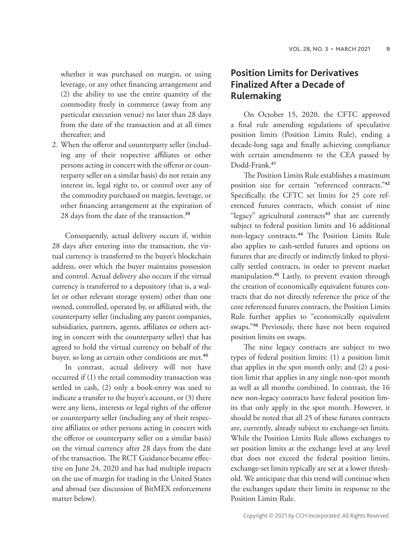whether it was purchased on margin, or using leverage, or any other financing arrangement and (2) the ability to use the entire quantity of the commodity freely in commerce (away from any particular execution venue) no later than 28 days from the date of the transaction and at all times thereafter; and

2. When the offeror and counterparty seller (including any of their respective affiliates or other persons acting in concert with the offeror or counterparty seller on a similar basis) do not retain any interest in, legal right to, or control over any of the commodity purchased on margin, leverage, or other financing arrangement at the expiration of 28 days from the date of the transaction.<sup>39</sup>

Consequently, actual delivery occurs if, within 28 days after entering into the transaction, the virtual currency is transferred to the buyer's blockchain address, over which the buyer maintains possession and control. Actual delivery also occurs if the virtual currency is transferred to a depository (that is, a wallet or other relevant storage system) other than one owned, controlled, operated by, or affiliated with, the counterparty seller (including any parent companies, subsidiaries, partners, agents, affiliates or others acting in concert with the counterparty seller) that has agreed to hold the virtual currency on behalf of the buyer, so long as certain other conditions are met.<sup>40</sup>

In contrast, actual delivery will not have occurred if (1) the retail commodity transaction was settled in cash, (2) only a book-entry was used to indicate a transfer to the buyer's account, or (3) there were any liens, interests or legal rights of the offeror or counterparty seller (including any of their respective affiliates or other persons acting in concert with the offeror or counterparty seller on a similar basis) on the virtual currency after 28 days from the date of the transaction. The RCT Guidance became effective on June 24, 2020 and has had multiple impacts on the use of margin for trading in the United States and abroad (see discussion of BitMEX enforcement matter below).

## **Position Limits for Derivatives Finalized After a Decade of Rulemaking**

On October 15, 2020, the CFTC approved a final rule amending regulations of speculative position limits (Position Limits Rule), ending a decade-long saga and finally achieving compliance with certain amendments to the CEA passed by Dodd-Frank.<sup>41</sup>

The Position Limits Rule establishes a maximum position size for certain "referenced contracts."<sup>42</sup> Specifically, the CFTC set limits for 25 core referenced futures contracts, which consist of nine "legacy" agricultural contracts<sup>43</sup> that are currently subject to federal position limits and 16 additional non-legacy contracts.<sup>44</sup> The Position Limits Rule also applies to cash-settled futures and options on futures that are directly or indirectly linked to physically settled contracts, in order to prevent market manipulation.<sup>45</sup> Lastly, to prevent evasion through the creation of economically equivalent futures contracts that do not directly reference the price of the core referenced futures contracts, the Position Limits Rule further applies to "economically equivalent swaps."<sup>46</sup> Previously, there have not been required position limits on swaps.

The nine legacy contracts are subject to two types of federal position limits: (1) a position limit that applies in the spot month only; and (2) a position limit that applies in any single non-spot month as well as all months combined. In contrast, the 16 new non-legacy contracts have federal position limits that only apply in the spot month. However, it should be noted that all 25 of these futures contracts are, currently, already subject to exchange-set limits. While the Position Limits Rule allows exchanges to set position limits at the exchange level at any level that does not exceed the federal position limits, exchange-set limits typically are set at a lower threshold. We anticipate that this trend will continue when the exchanges update their limits in response to the Position Limits Rule.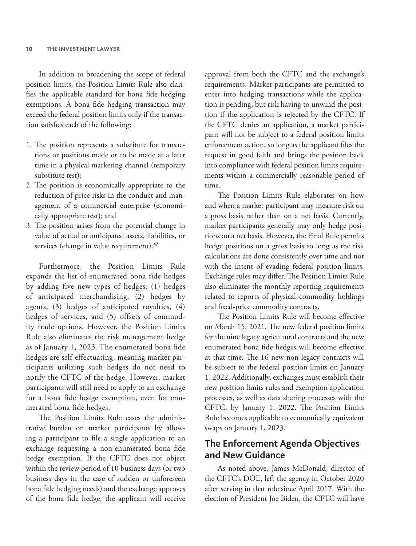In addition to broadening the scope of federal position limits, the Position Limits Rule also clarifies the applicable standard for bona fide hedging exemptions. A bona fide hedging transaction may exceed the federal position limits only if the transaction satisfies each of the following:

- 1. The position represents a substitute for transactions or positions made or to be made at a later time in a physical marketing channel (temporary substitute test);
- 2. The position is economically appropriate to the reduction of price risks in the conduct and management of a commercial enterprise (economically appropriate test); and
- 3. The position arises from the potential change in value of actual or anticipated assets, liabilities, or services (change in value requirement).<sup>47</sup>

Furthermore, the Position Limits Rule expands the list of enumerated bona fide hedges by adding five new types of hedges: (1) hedges of anticipated merchandising, (2) hedges by agents, (3) hedges of anticipated royalties, (4) hedges of services, and (5) offsets of commodity trade options. However, the Position Limits Rule also eliminates the risk management hedge as of January 1, 2023. The enumerated bona fide hedges are self-effectuating, meaning market participants utilizing such hedges do not need to notify the CFTC of the hedge. However, market participants will still need to apply to an exchange for a bona fide hedge exemption, even for enumerated bona fide hedges.

The Position Limits Rule eases the administrative burden on market participants by allowing a participant to file a single application to an exchange requesting a non-enumerated bona fide hedge exemption. If the CFTC does not object within the review period of 10 business days (or two business days in the case of sudden or unforeseen bona fide hedging needs) and the exchange approves of the bona fide hedge, the applicant will receive approval from both the CFTC and the exchange's requirements. Market participants are permitted to enter into hedging transactions while the application is pending, but risk having to unwind the position if the application is rejected by the CFTC. If the CFTC denies an application, a market participant will not be subject to a federal position limits enforcement action, so long as the applicant files the request in good faith and brings the position back into compliance with federal position limits requirements within a commercially reasonable period of time.

The Position Limits Rule elaborates on how and when a market participant may measure risk on a gross basis rather than on a net basis. Currently, market participants generally may only hedge positions on a net basis. However, the Final Rule permits hedge positions on a gross basis so long as the risk calculations are done consistently over time and not with the intent of evading federal position limits. Exchange rules may differ. The Position Limits Rule also eliminates the monthly reporting requirements related to reports of physical commodity holdings and fixed-price commodity contracts.

The Position Limits Rule will become effective on March 15, 2021. The new federal position limits for the nine legacy agricultural contracts and the new enumerated bona fide hedges will become effective at that time. The 16 new non-legacy contracts will be subject to the federal position limits on January 1, 2022. Additionally, exchanges must establish their new position limits rules and exemption application processes, as well as data sharing processes with the CFTC, by January 1, 2022. The Position Limits Rule becomes applicable to economically equivalent swaps on January 1, 2023.

#### **The Enforcement Agenda Objectives and New Guidance**

As noted above, James McDonald, director of the CFTC's DOE, left the agency in October 2020 after serving in that role since April 2017. With the election of President Joe Biden, the CFTC will have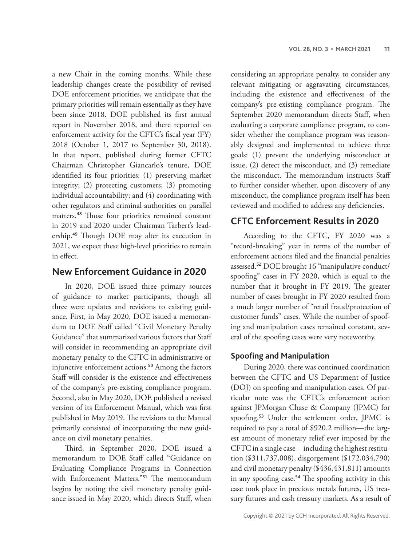a new Chair in the coming months. While these leadership changes create the possibility of revised DOE enforcement priorities, we anticipate that the primary priorities will remain essentially as they have been since 2018. DOE published its first annual report in November 2018, and there reported on enforcement activity for the CFTC's fiscal year (FY) 2018 (October 1, 2017 to September 30, 2018). In that report, published during former CFTC Chairman Christopher Giancarlo's tenure, DOE identified its four priorities: (1) preserving market integrity; (2) protecting customers; (3) promoting individual accountability; and (4) coordinating with other regulators and criminal authorities on parallel matters.<sup>48</sup> Those four priorities remained constant in 2019 and 2020 under Chairman Tarbert's leadership.<sup>49</sup> Though DOE may alter its execution in 2021, we expect these high-level priorities to remain in effect.

#### **New Enforcement Guidance in 2020**

In 2020, DOE issued three primary sources of guidance to market participants, though all three were updates and revisions to existing guidance. First, in May 2020, DOE issued a memorandum to DOE Staff called "Civil Monetary Penalty Guidance" that summarized various factors that Staff will consider in recommending an appropriate civil monetary penalty to the CFTC in administrative or injunctive enforcement actions.<sup>50</sup> Among the factors Staff will consider is the existence and effectiveness of the company's pre-existing compliance program. Second, also in May 2020, DOE published a revised version of its Enforcement Manual, which was first published in May 2019. The revisions to the Manual primarily consisted of incorporating the new guidance on civil monetary penalties.

Third, in September 2020, DOE issued a memorandum to DOE Staff called "Guidance on Evaluating Compliance Programs in Connection with Enforcement Matters."<sup>51</sup> The memorandum begins by noting the civil monetary penalty guidance issued in May 2020, which directs Staff, when

considering an appropriate penalty, to consider any relevant mitigating or aggravating circumstances, including the existence and effectiveness of the company's pre-existing compliance program. The September 2020 memorandum directs Staff, when evaluating a corporate compliance program, to consider whether the compliance program was reasonably designed and implemented to achieve three goals: (1) prevent the underlying misconduct at issue, (2) detect the misconduct, and (3) remediate the misconduct. The memorandum instructs Staff to further consider whether, upon discovery of any misconduct, the compliance program itself has been reviewed and modified to address any deficiencies.

#### **CFTC Enforcement Results in 2020**

According to the CFTC, FY 2020 was a "record-breaking" year in terms of the number of enforcement actions filed and the financial penalties assessed.<sup>52</sup> DOE brought 16 "manipulative conduct/ spoofing" cases in FY 2020, which is equal to the number that it brought in FY 2019. The greater number of cases brought in FY 2020 resulted from a much larger number of "retail fraud/protection of customer funds" cases. While the number of spoofing and manipulation cases remained constant, several of the spoofing cases were very noteworthy.

#### **Spoofing and Manipulation**

During 2020, there was continued coordination between the CFTC and US Department of Justice (DOJ) on spoofing and manipulation cases. Of particular note was the CFTC's enforcement action against JPMorgan Chase & Company (JPMC) for spoofing.<sup>53</sup> Under the settlement order, JPMC is required to pay a total of \$920.2 million—the largest amount of monetary relief ever imposed by the CFTC in a single case—including the highest restitution (\$311,737,008), disgorgement (\$172,034,790) and civil monetary penalty (\$436,431,811) amounts in any spoofing case.<sup>54</sup> The spoofing activity in this case took place in precious metals futures, US treasury futures and cash treasury markets. As a result of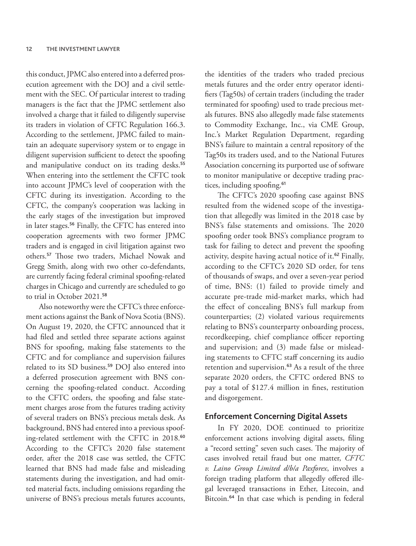this conduct, JPMC also entered into a deferred prosecution agreement with the DOJ and a civil settlement with the SEC. Of particular interest to trading managers is the fact that the JPMC settlement also involved a charge that it failed to diligently supervise its traders in violation of CFTC Regulation 166.3. According to the settlement, JPMC failed to maintain an adequate supervisory system or to engage in diligent supervision sufficient to detect the spoofing and manipulative conduct on its trading desks.<sup>55</sup> When entering into the settlement the CFTC took into account JPMC's level of cooperation with the CFTC during its investigation. According to the CFTC, the company's cooperation was lacking in the early stages of the investigation but improved in later stages.<sup>56</sup> Finally, the CFTC has entered into cooperation agreements with two former JPMC traders and is engaged in civil litigation against two others.<sup>57</sup> Those two traders, Michael Nowak and Gregg Smith, along with two other co-defendants, are currently facing federal criminal spoofing-related charges in Chicago and currently are scheduled to go to trial in October 2021.<sup>58</sup>

Also noteworthy were the CFTC's three enforcement actions against the Bank of Nova Scotia (BNS). On August 19, 2020, the CFTC announced that it had filed and settled three separate actions against BNS for spoofing, making false statements to the CFTC and for compliance and supervision failures related to its SD business.<sup>59</sup> DOJ also entered into a deferred prosecution agreement with BNS concerning the spoofing-related conduct. According to the CFTC orders, the spoofing and false statement charges arose from the futures trading activity of several traders on BNS's precious metals desk. As background, BNS had entered into a previous spoofing-related settlement with the CFTC in 2018.<sup>60</sup> According to the CFTC's 2020 false statement order, after the 2018 case was settled, the CFTC learned that BNS had made false and misleading statements during the investigation, and had omitted material facts, including omissions regarding the universe of BNS's precious metals futures accounts,

the identities of the traders who traded precious metals futures and the order entry operator identifiers (Tag50s) of certain traders (including the trader terminated for spoofing) used to trade precious metals futures. BNS also allegedly made false statements to Commodity Exchange, Inc., via CME Group, Inc.'s Market Regulation Department, regarding BNS's failure to maintain a central repository of the Tag50s its traders used, and to the National Futures Association concerning its purported use of software to monitor manipulative or deceptive trading practices, including spoofing.<sup>61</sup>

The CFTC's 2020 spoofing case against BNS resulted from the widened scope of the investigation that allegedly was limited in the 2018 case by BNS's false statements and omissions. The 2020 spoofing order took BNS's compliance program to task for failing to detect and prevent the spoofing activity, despite having actual notice of it.<sup>62</sup> Finally, according to the CFTC's 2020 SD order, for tens of thousands of swaps, and over a seven-year period of time, BNS: (1) failed to provide timely and accurate pre-trade mid-market marks, which had the effect of concealing BNS's full markup from counterparties; (2) violated various requirements relating to BNS's counterparty onboarding process, recordkeeping, chief compliance officer reporting and supervision; and (3) made false or misleading statements to CFTC staff concerning its audio retention and supervision.<sup>63</sup> As a result of the three separate 2020 orders, the CFTC ordered BNS to pay a total of \$127.4 million in fines, restitution and disgorgement.

#### **Enforcement Concerning Digital Assets**

In FY 2020, DOE continued to prioritize enforcement actions involving digital assets, filing a "record setting" seven such cases. The majority of cases involved retail fraud but one matter, *CFTC v. Laino Group Limited d/b/a Paxforex*, involves a foreign trading platform that allegedly offered illegal leveraged transactions in Ether, Litecoin, and Bitcoin.<sup>64</sup> In that case which is pending in federal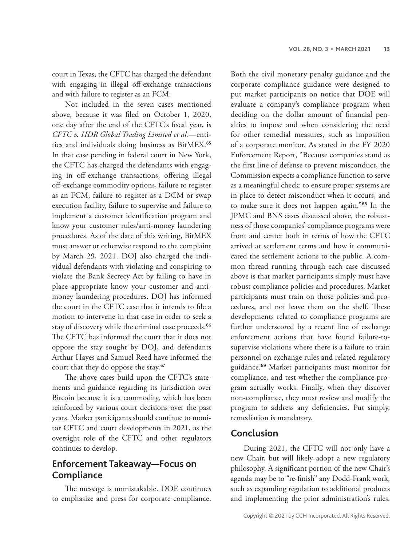court in Texas, the CFTC has charged the defendant with engaging in illegal off-exchange transactions and with failure to register as an FCM.

Not included in the seven cases mentioned above, because it was filed on October 1, 2020, one day after the end of the CFTC's fiscal year, is *CFTC v. HDR Global Trading Limited et al.*—entities and individuals doing business as BitMEX.<sup>65</sup> In that case pending in federal court in New York, the CFTC has charged the defendants with engaging in off-exchange transactions, offering illegal off-exchange commodity options, failure to register as an FCM, failure to register as a DCM or swap execution facility, failure to supervise and failure to implement a customer identification program and know your customer rules/anti-money laundering procedures. As of the date of this writing, BitMEX must answer or otherwise respond to the complaint by March 29, 2021. DOJ also charged the individual defendants with violating and conspiring to violate the Bank Secrecy Act by failing to have in place appropriate know your customer and antimoney laundering procedures. DOJ has informed the court in the CFTC case that it intends to file a motion to intervene in that case in order to seek a stay of discovery while the criminal case proceeds.<sup>66</sup> The CFTC has informed the court that it does not oppose the stay sought by DOJ, and defendants Arthur Hayes and Samuel Reed have informed the court that they do oppose the stay.<sup>67</sup>

The above cases build upon the CFTC's statements and guidance regarding its jurisdiction over Bitcoin because it is a commodity, which has been reinforced by various court decisions over the past years. Market participants should continue to monitor CFTC and court developments in 2021, as the oversight role of the CFTC and other regulators continues to develop.

# **Enforcement Takeaway—Focus on Compliance**

The message is unmistakable. DOE continues to emphasize and press for corporate compliance.

Both the civil monetary penalty guidance and the corporate compliance guidance were designed to put market participants on notice that DOE will evaluate a company's compliance program when deciding on the dollar amount of financial penalties to impose and when considering the need for other remedial measures, such as imposition of a corporate monitor. As stated in the FY 2020 Enforcement Report, "Because companies stand as the first line of defense to prevent misconduct, the Commission expects a compliance function to serve as a meaningful check: to ensure proper systems are in place to detect misconduct when it occurs, and to make sure it does not happen again."<sup>68</sup> In the JPMC and BNS cases discussed above, the robustness of those companies' compliance programs were front and center both in terms of how the CFTC arrived at settlement terms and how it communicated the settlement actions to the public. A common thread running through each case discussed above is that market participants simply must have robust compliance policies and procedures. Market participants must train on those policies and procedures, and not leave them on the shelf. These developments related to compliance programs are further underscored by a recent line of exchange enforcement actions that have found failure-tosupervise violations where there is a failure to train personnel on exchange rules and related regulatory guidance.<sup>69</sup> Market participants must monitor for compliance, and test whether the compliance program actually works. Finally, when they discover non-compliance, they must review and modify the program to address any deficiencies. Put simply, remediation is mandatory.

#### **Conclusion**

During 2021, the CFTC will not only have a new Chair, but will likely adopt a new regulatory philosophy. A significant portion of the new Chair's agenda may be to "re-finish" any Dodd-Frank work, such as expanding regulation to additional products and implementing the prior administration's rules.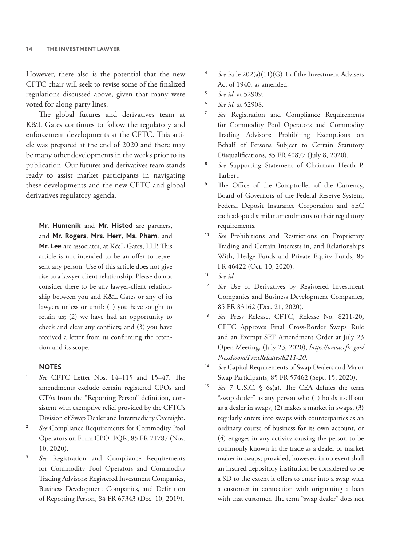However, there also is the potential that the new CFTC chair will seek to revise some of the finalized regulations discussed above, given that many were voted for along party lines.

The global futures and derivatives team at K&L Gates continues to follow the regulatory and enforcement developments at the CFTC. This article was prepared at the end of 2020 and there may be many other developments in the weeks prior to its publication. Our futures and derivatives team stands ready to assist market participants in navigating these developments and the new CFTC and global derivatives regulatory agenda.

**Mr. Humenik** and **Mr. Histed** are partners, and **Mr. Rogers**, **Mrs. Herr**, **Ms. Pham**, and **Mr. Lee** are associates, at K&L Gates, LLP. This article is not intended to be an offer to represent any person. Use of this article does not give rise to a lawyer-client relationship. Please do not consider there to be any lawyer-client relationship between you and K&L Gates or any of its lawyers unless or until: (1) you have sought to retain us; (2) we have had an opportunity to check and clear any conflicts; and (3) you have received a letter from us confirming the retention and its scope.

#### **NOTES**

- <sup>1</sup> *See* CFTC Letter Nos. 14–115 and 15–47. The amendments exclude certain registered CPOs and CTAs from the "Reporting Person" definition, consistent with exemptive relief provided by the CFTC's Division of Swap Dealer and Intermediary Oversight.
- <sup>2</sup> *See* Compliance Requirements for Commodity Pool Operators on Form CPO–PQR, 85 FR 71787 (Nov. 10, 2020).
- See Registration and Compliance Requirements for Commodity Pool Operators and Commodity Trading Advisors: Registered Investment Companies, Business Development Companies, and Definition of Reporting Person, 84 FR 67343 (Dec. 10, 2019).
- See Rule 202(a)(11)(G)-1 of the Investment Advisers Act of 1940, as amended.
- <sup>5</sup> *See id.* at 52909.
- <sup>6</sup> *See id.* at 52908.
- <sup>7</sup> *See* Registration and Compliance Requirements for Commodity Pool Operators and Commodity Trading Advisors: Prohibiting Exemptions on Behalf of Persons Subject to Certain Statutory Disqualifications, 85 FR 40877 (July 8, 2020).
- <sup>8</sup> *See* Supporting Statement of Chairman Heath P. Tarbert.
- The Office of the Comptroller of the Currency, Board of Governors of the Federal Reserve System, Federal Deposit Insurance Corporation and SEC each adopted similar amendments to their regulatory requirements.
- <sup>10</sup> *See* Prohibitions and Restrictions on Proprietary Trading and Certain Interests in, and Relationships With, Hedge Funds and Private Equity Funds, 85 FR 46422 (Oct. 10, 2020).
- <sup>11</sup> *See id.*
- <sup>12</sup> *See* Use of Derivatives by Registered Investment Companies and Business Development Companies, 85 FR 83162 (Dec. 21, 2020).
- <sup>13</sup> *See* Press Release, CFTC, Release No. 8211-20, CFTC Approves Final Cross-Border Swaps Rule and an Exempt SEF Amendment Order at July 23 Open Meeting, (July 23, 2020), *https://www.cftc.gov/ PressRoom/PressReleases/8211-20*.
- See Capital Requirements of Swap Dealers and Major Swap Participants, 85 FR 57462 (Sept. 15, 2020).
- <sup>15</sup> *See* 7 U.S.C. § 6s(a). The CEA defines the term "swap dealer" as any person who (1) holds itself out as a dealer in swaps, (2) makes a market in swaps, (3) regularly enters into swaps with counterparties as an ordinary course of business for its own account, or (4) engages in any activity causing the person to be commonly known in the trade as a dealer or market maker in swaps; provided, however, in no event shall an insured depository institution be considered to be a SD to the extent it offers to enter into a swap with a customer in connection with originating a loan with that customer. The term "swap dealer" does not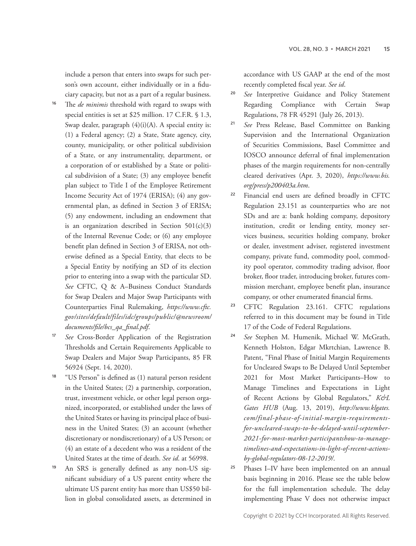include a person that enters into swaps for such person's own account, either individually or in a fiduciary capacity, but not as a part of a regular business.

- <sup>16</sup> The *de minimis* threshold with regard to swaps with special entities is set at \$25 million. 17 C.F.R. § 1.3, Swap dealer, paragraph  $(4)(i)(A)$ . A special entity is: (1) a Federal agency; (2) a State, State agency, city, county, municipality, or other political subdivision of a State, or any instrumentality, department, or a corporation of or established by a State or political subdivision of a State; (3) any employee benefit plan subject to Title I of the Employee Retirement Income Security Act of 1974 (ERISA); (4) any governmental plan, as defined in Section 3 of ERISA; (5) any endowment, including an endowment that is an organization described in Section  $501(c)(3)$ of the Internal Revenue Code; or (6) any employee benefit plan defined in Section 3 of ERISA, not otherwise defined as a Special Entity, that elects to be a Special Entity by notifying an SD of its election prior to entering into a swap with the particular SD. *See* CFTC, Q & A–Business Conduct Standards for Swap Dealers and Major Swap Participants with Counterparties Final Rulemaking, *https://www.cftc. gov/sites/default/files/idc/groups/public/@newsroom/ documents/file/bcs\_qa\_final.pdf*.
- <sup>17</sup> *See* Cross-Border Application of the Registration Thresholds and Certain Requirements Applicable to Swap Dealers and Major Swap Participants, 85 FR 56924 (Sept. 14, 2020).
- <sup>18</sup> "US Person" is defined as (1) natural person resident in the United States; (2) a partnership, corporation, trust, investment vehicle, or other legal person organized, incorporated, or established under the laws of the United States or having its principal place of business in the United States; (3) an account (whether discretionary or nondiscretionary) of a US Person; or (4) an estate of a decedent who was a resident of the United States at the time of death. *See id*. at 56998.
- <sup>19</sup> An SRS is generally defined as any non-US significant subsidiary of a US parent entity where the ultimate US parent entity has more than US\$50 billion in global consolidated assets, as determined in

accordance with US GAAP at the end of the most recently completed fiscal year. *See id*.

- <sup>20</sup> *See* Interpretive Guidance and Policy Statement Regarding Compliance with Certain Swap Regulations, 78 FR 45291 (July 26, 2013).
- <sup>21</sup> *See* Press Release, Basel Committee on Banking Supervision and the International Organization of Securities Commissions, Basel Committee and IOSCO announce deferral of final implementation phases of the margin requirements for non-centrally cleared derivatives (Apr. 3, 2020), *https://www.bis. org/press/p200403a.htm*.
- <sup>22</sup> Financial end users are defined broadly in CFTC Regulation 23.151 as counterparties who are not SDs and are a: bank holding company, depository institution, credit or lending entity, money services business, securities holding company, broker or dealer, investment adviser, registered investment company, private fund, commodity pool, commodity pool operator, commodity trading advisor, floor broker, floor trader, introducing broker, futures commission merchant, employee benefit plan, insurance company, or other enumerated financial firms.
- <sup>23</sup> CFTC Regulation 23.161. CFTC regulations referred to in this document may be found in Title 17 of the Code of Federal Regulations.
- <sup>24</sup> *See* Stephen M. Humenik, Michael W. McGrath, Kenneth Holston, Edgar Mkrtchian, Lawrence B. Patent, "Final Phase of Initial Margin Requirements for Uncleared Swaps to Be Delayed Until September 2021 for Most Market Participants–How to Manage Timelines and Expectations in Light of Recent Actions by Global Regulators," *K&L Gates HUB* (Aug. 13, 2019), *http://www.klgates. com/final-phase-of-initial-margin-requirementsfor-uncleared-swaps-to-be-delayed-until-september-2021-for-most-market-participantshow-to-managetimelines-and-expectations-in-light-of-recent-actionsby-global-regulators-08-12-2019/*.
- <sup>25</sup> Phases I–IV have been implemented on an annual basis beginning in 2016. Please see the table below for the full implementation schedule. The delay implementing Phase V does not otherwise impact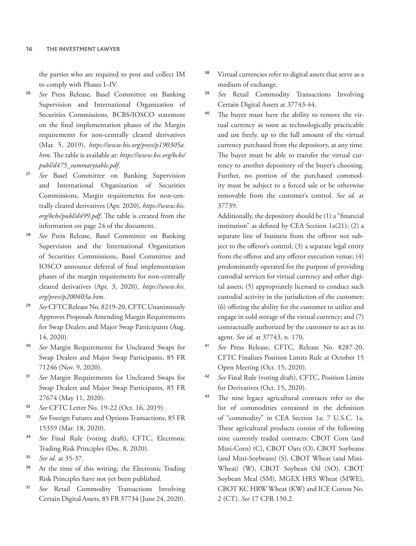the parties who are required to post and collect IM to comply with Phases I–IV.

- See Press Release, Basel Committee on Banking Supervision and International Organization of Securities Commissions, BCBS/IOSCO statement on the final implementation phases of the Margin requirements for non-centrally cleared derivatives (Mar. 5, 2019), *https://www.bis.org/press/p190305a. htm*. The table is available at: *https://www.bis.org/bcbs/ publ/d475\_summarytable.pdf*.
- <sup>27</sup> *See* Basel Committee on Banking Supervision and International Organization of Securities Commissions, Margin requirements for non-centrally cleared derivatives (Apr. 2020), *https://www.bis. org/bcbs/publ/d499.pdf*. The table is created from the information on page 24 of the document.
- See Press Release, Basel Committee on Banking Supervision and the International Organization of Securities Commissions, Basel Committee and IOSCO announce deferral of final implementation phases of the margin requirements for non-centrally cleared derivatives (Apr. 3, 2020), *https://www.bis. org/press/p200403a.htm*.
- See CFTC Release No. 8219-20, CFTC Unanimously Approves Proposals Amending Margin Requirements for Swap Dealers and Major Swap Participants (Aug. 14, 2020).
- <sup>30</sup> *See* Margin Requirements for Uncleared Swaps for Swap Dealers and Major Swap Participants, 85 FR 71246 (Nov. 9, 2020).
- <sup>31</sup> *See* Margin Requirements for Uncleared Swaps for Swap Dealers and Major Swap Participants, 85 FR 27674 (May 11, 2020).
- <sup>32</sup> *See* CFTC Letter No. 19-22 (Oct. 16, 2019).
- <sup>33</sup> *See* Foreign Futures and Options Transactions, 85 FR 15359 (Mar. 18, 2020).
- <sup>34</sup> *See* Final Rule (voting draft), CFTC, Electronic Trading Risk Principles (Dec. 8, 2020).
- <sup>35</sup> *See id.* at 35-37.
- <sup>36</sup> At the time of this writing, the Electronic Trading Risk Principles have not yet been published.
- <sup>37</sup> *See* Retail Commodity Transactions Involving Certain Digital Assets, 85 FR 37734 (June 24, 2020).
- <sup>38</sup> Virtual currencies refer to digital assets that serve as a medium of exchange.
- <sup>39</sup> *See* Retail Commodity Transactions Involving Certain Digital Assets at 37743-44.
- <sup>40</sup> The buyer must have the ability to remove the virtual currency as soon as technologically practicable and use freely, up to the full amount of the virtual currency purchased from the depository, at any time. The buyer must be able to transfer the virtual currency to another depository of the buyer's choosing. Further, no portion of the purchased commodity must be subject to a forced sale or be otherwise removable from the customer's control. *See id.* at 37739.

Additionally, the depository should be (1) a "financial institution" as defined by CEA Section 1a(21); (2) a separate line of business from the offeror not subject to the offeror's control; (3) a separate legal entity from the offeror and any offeror execution venue; (4) predominantly operated for the purpose of providing custodial services for virtual currency and other digital assets; (5) appropriately licensed to conduct such custodial activity in the jurisdiction of the customer; (6) offering the ability for the customer to utilize and engage in cold storage of the virtual currency; and (7) contractually authorized by the customer to act as its agent. *See id.* at 37743, n. 170.

- <sup>41</sup> *See* Press Release, CFTC, Release No. 8287-20, CFTC Finalizes Position Limits Rule at October 15 Open Meeting (Oct. 15, 2020).
- <sup>42</sup> *See* Final Rule (voting draft), CFTC, Position Limits for Derivatives (Oct. 15, 2020).
- <sup>43</sup> The nine legacy agricultural contracts refer to the list of commodities contained in the definition of "commodity" in CEA Section 1a; 7 U.S.C. 1a. These agricultural products consist of the following nine currently traded contracts: CBOT Corn (and Mini-Corn) (C), CBOT Oats (O), CBOT Soybeans (and Mini-Soybeans) (S), CBOT Wheat (and Mini-Wheat) (W), CBOT Soybean Oil (SO), CBOT Soybean Meal (SM), MGEX HRS Wheat (MWE), CBOT KC HRW Wheat (KW) and ICE Cotton No. 2 (CT). *See* 17 CFR 150.2.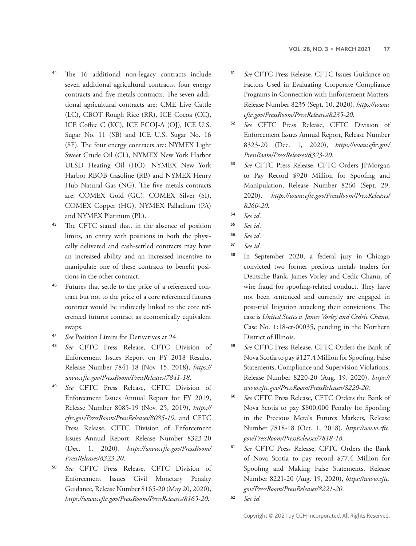- <sup>44</sup> The 16 additional non-legacy contracts include seven additional agricultural contracts, four energy contracts and five metals contracts. The seven additional agricultural contracts are: CME Live Cattle (LC), CBOT Rough Rice (RR), ICE Cocoa (CC), ICE Coffee C (KC), ICE FCOJ-A (OJ), ICE U.S. Sugar No. 11 (SB) and ICE U.S. Sugar No. 16 (SF). The four energy contracts are: NYMEX Light Sweet Crude Oil (CL), NYMEX New York Harbor ULSD Heating Oil (HO), NYMEX New York Harbor RBOB Gasoline (RB) and NYMEX Henry Hub Natural Gas (NG). The five metals contracts are: COMEX Gold (GC), COMEX Silver (SI), COMEX Copper (HG), NYMEX Palladium (PA) and NYMEX Platinum (PL).
- <sup>45</sup> The CFTC stated that, in the absence of position limits, an entity with positions in both the physically delivered and cash-settled contracts may have an increased ability and an increased incentive to manipulate one of these contracts to benefit positions in the other contract.
- <sup>46</sup> Futures that settle to the price of a referenced contract but not to the price of a core referenced futures contract would be indirectly linked to the core referenced futures contract as economically equivalent swaps.
- <sup>47</sup> *See* Position Limits for Derivatives at 24.
- <sup>48</sup> *See* CFTC Press Release, CFTC Division of Enforcement Issues Report on FY 2018 Results, Release Number 7841-18 (Nov. 15, 2018), *https:// www.cftc.gov/PressRoom/PressReleases/7841-18*.
- <sup>49</sup> *See* CFTC Press Release, CFTC Division of Enforcement Issues Annual Report for FY 2019, Release Number 8085-19 (Nov. 25, 2019), *https:// cftc.gov/PressRoom/PressReleases/8085-19*, and CFTC Press Release, CFTC Division of Enforcement Issues Annual Report, Release Number 8323-20 (Dec. 1, 2020), *https://www.cftc.gov/PressRoom/ PressReleases/8323-20*.
- <sup>50</sup> *See* CFTC Press Release, CFTC Division of Enforcement Issues Civil Monetary Penalty Guidance, Release Number 8165-20 (May 20, 2020), *https://www.cftc.gov/PressRoom/PressReleases/8165-20*.
- See CFTC Press Release, CFTC Issues Guidance on Factors Used in Evaluating Corporate Compliance Programs in Connection with Enforcement Matters*,*  Release Number 8235 (Sept. 10, 2020), *https://www. cftc.gov/PressRoom/PressReleases/8235-20*.
- <sup>52</sup> *See* CFTC Press Release, CFTC Division of Enforcement Issues Annual Report, Release Number 8323-20 (Dec. 1, 2020), *https://www.cftc.gov/ PressRoom/PressReleases/8323-20*.
- <sup>53</sup> *See* CFTC Press Release, CFTC Orders JPMorgan to Pay Record \$920 Million for Spoofing and Manipulation, Release Number 8260 (Sept. 29, 2020), *https://www.cftc.gov/PressRoom/PressReleases/ 8260-20*.
- <sup>54</sup> *See id*.

- <sup>56</sup> *See id*.
- <sup>57</sup> *See id*.
- <sup>58</sup> In September 2020, a federal jury in Chicago convicted two former precious metals traders for Deutsche Bank, James Vorley and Cedic Chanu, of wire fraud for spoofing-related conduct. They have not been sentenced and currently are engaged in post-trial litigation attacking their convictions. The case is *United States v. James Vorley and Cedric Chanu*, Case No. 1:18-cr-00035, pending in the Northern District of Illinois.
- <sup>59</sup> *See* CFTC Press Release, CFTC Orders the Bank of Nova Scotia to pay \$127.4 Million for Spoofing, False Statements, Compliance and Supervision Violations, Release Number 8220-20 (Aug. 19, 2020), *https:// www.cftc.gov/PressRoom/PressReleases/8220-20*.
- <sup>60</sup> *See* CFTC Press Release, CFTC Orders the Bank of Nova Scotia to pay \$800,000 Penalty for Spoofing in the Precious Metals Futures Markets, Release Number 7818-18 (Oct. 1, 2018), *https://www.cftc. gov/PressRoom/PressReleases/7818-18*.
- <sup>61</sup> *See* CFTC Press Release, CFTC Orders the Bank of Nova Scotia to pay record \$77.4 Million for Spoofing and Making False Statements, Release Number 8221-20 (Aug. 19, 2020), *https://www.cftc. gov/PressRoom/PressReleases/8221-20*.
- <sup>62</sup> *See id.*

<sup>55</sup> *See id*.